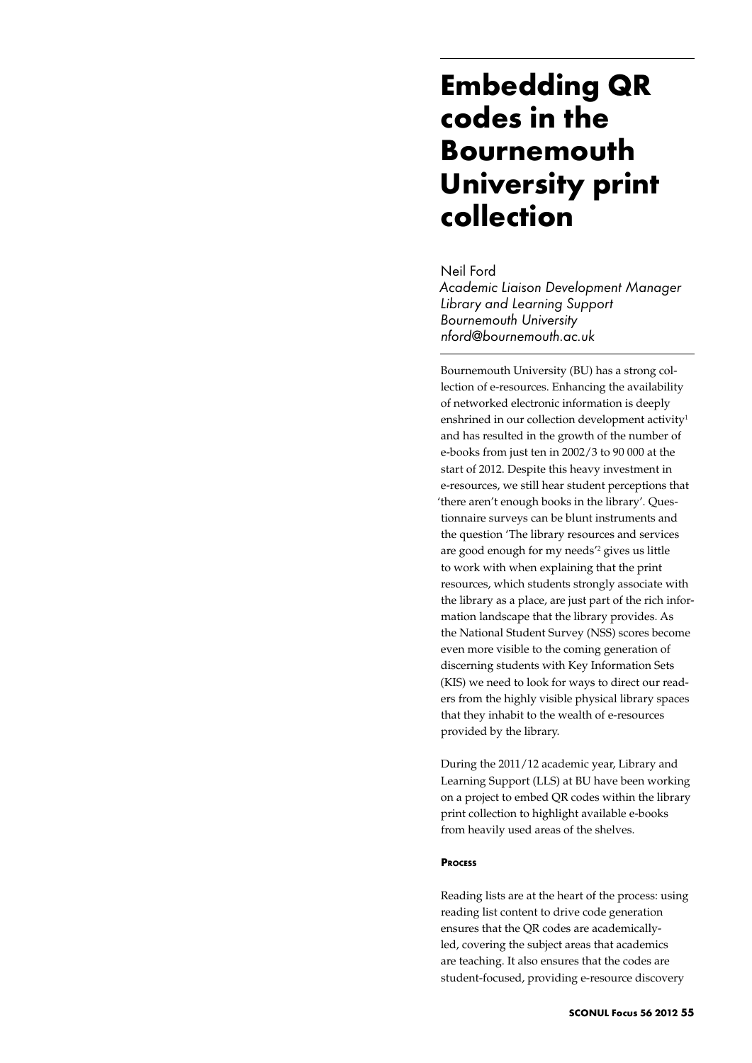## **Embedding QR codes in the Bournemouth University print collection**

### Neil Ford

*Academic Liaison Development Manager Library and Learning Support Bournemouth University nford@bournemouth.ac.uk*

Bournemouth University (BU) has a strong collection of e-resources. Enhancing the availability of networked electronic information is deeply enshrined in our collection development activity<sup>1</sup> and has resulted in the growth of the number of e-books from just ten in 2002/3 to 90 000 at the start of 2012. Despite this heavy investment in e-resources, we still hear student perceptions that 'there aren't enough books in the library'. Questionnaire surveys can be blunt instruments and the question 'The library resources and services are good enough for my needs'2 gives us little to work with when explaining that the print resources, which students strongly associate with the library as a place, are just part of the rich information landscape that the library provides. As the National Student Survey (NSS) scores become even more visible to the coming generation of discerning students with Key Information Sets (KIS) we need to look for ways to direct our readers from the highly visible physical library spaces that they inhabit to the wealth of e-resources provided by the library.

During the 2011/12 academic year, Library and Learning Support (LLS) at BU have been working on a project to embed QR codes within the library print collection to highlight available e-books from heavily used areas of the shelves.

### **Process**

Reading lists are at the heart of the process: using reading list content to drive code generation ensures that the QR codes are academicallyled, covering the subject areas that academics are teaching. It also ensures that the codes are student-focused, providing e-resource discovery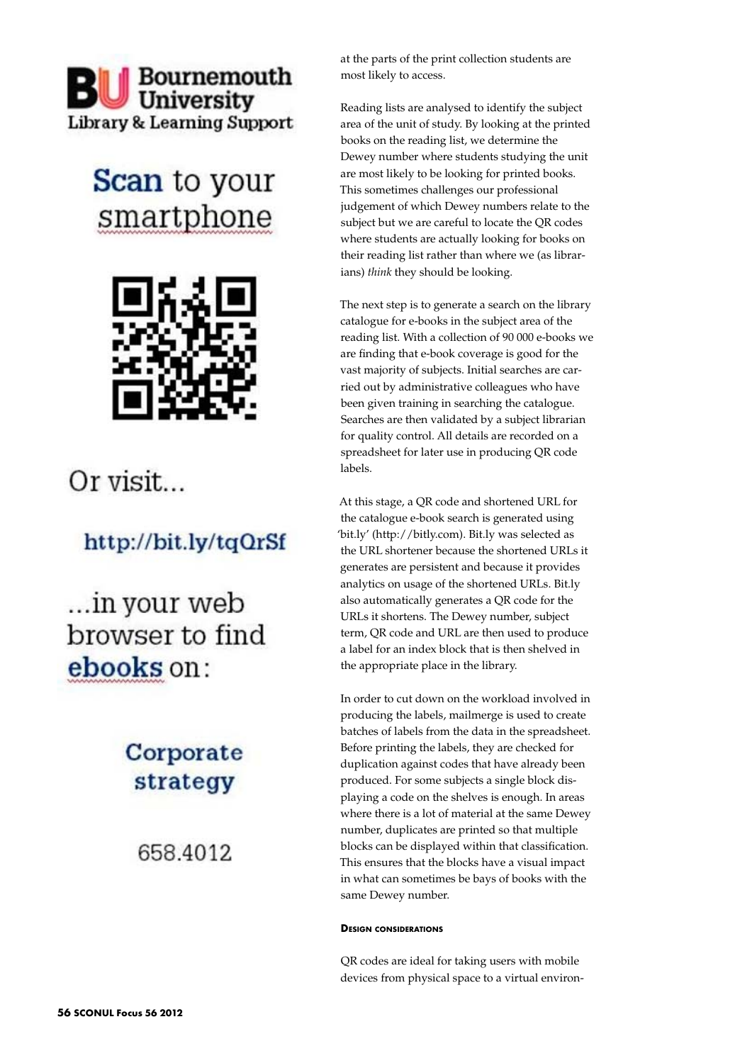# **BU** Bournemouth **Library & Learning Support**

# **Scan** to your smartphone



## Or visit...

## http://bit.ly/tqQrSf

... in your web browser to find ebooks on:

## Corporate strategy

658,4012

at the parts of the print collection students are most likely to access.

Reading lists are analysed to identify the subject area of the unit of study. By looking at the printed books on the reading list, we determine the Dewey number where students studying the unit are most likely to be looking for printed books. This sometimes challenges our professional judgement of which Dewey numbers relate to the subject but we are careful to locate the QR codes where students are actually looking for books on their reading list rather than where we (as librarians) *think* they should be looking.

The next step is to generate a search on the library catalogue for e-books in the subject area of the reading list. With a collection of 90 000 e-books we are finding that e-book coverage is good for the vast majority of subjects. Initial searches are carried out by administrative colleagues who have been given training in searching the catalogue. Searches are then validated by a subject librarian for quality control. All details are recorded on a spreadsheet for later use in producing QR code labels.

At this stage, a QR code and shortened URL for the catalogue e-book search is generated using 'bit.ly' (http://bitly.com). Bit.ly was selected as the URL shortener because the shortened URLs it generates are persistent and because it provides analytics on usage of the shortened URLs. Bit.ly also automatically generates a QR code for the URLs it shortens. The Dewey number, subject term, QR code and URL are then used to produce a label for an index block that is then shelved in the appropriate place in the library.

In order to cut down on the workload involved in producing the labels, mailmerge is used to create batches of labels from the data in the spreadsheet. Before printing the labels, they are checked for duplication against codes that have already been produced. For some subjects a single block displaying a code on the shelves is enough. In areas where there is a lot of material at the same Dewey number, duplicates are printed so that multiple blocks can be displayed within that classification. This ensures that the blocks have a visual impact in what can sometimes be bays of books with the same Dewey number.

### **Design considerations**

QR codes are ideal for taking users with mobile devices from physical space to a virtual environ-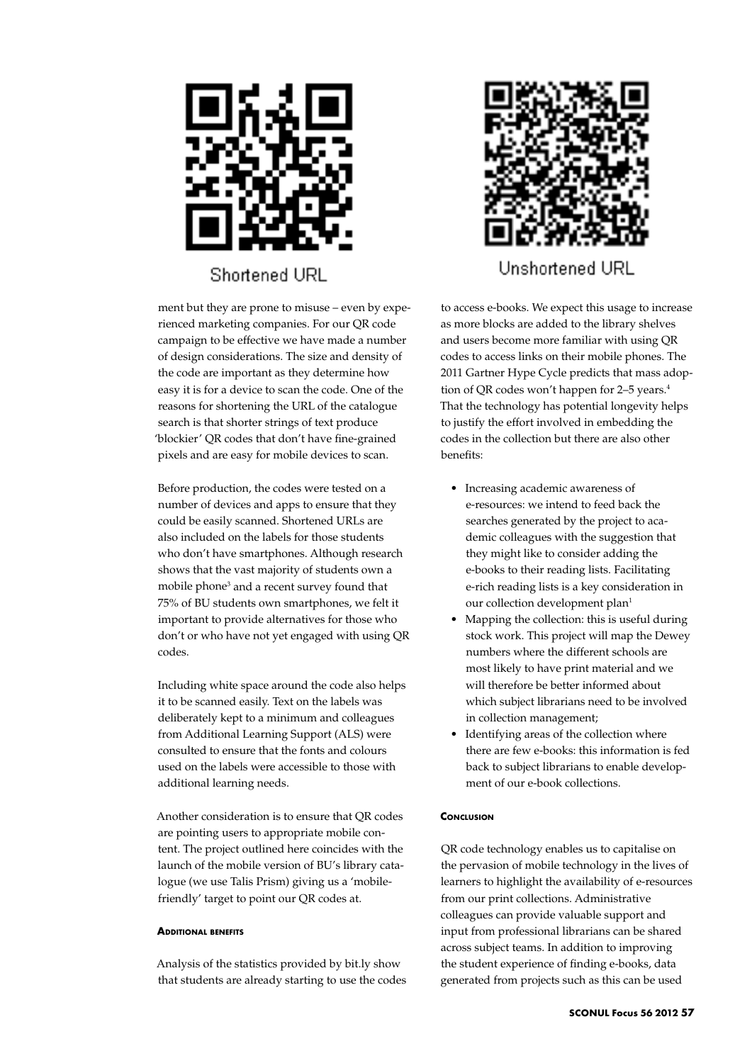

ment but they are prone to misuse – even by experienced marketing companies. For our QR code campaign to be effective we have made a number of design considerations. The size and density of the code are important as they determine how easy it is for a device to scan the code. One of the reasons for shortening the URL of the catalogue search is that shorter strings of text produce 'blockier' QR codes that don't have fine-grained pixels and are easy for mobile devices to scan.

Before production, the codes were tested on a number of devices and apps to ensure that they could be easily scanned. Shortened URLs are also included on the labels for those students who don't have smartphones. Although research shows that the vast majority of students own a mobile phone<sup>3</sup> and a recent survey found that 75% of BU students own smartphones, we felt it important to provide alternatives for those who don't or who have not yet engaged with using QR codes.

Including white space around the code also helps it to be scanned easily. Text on the labels was deliberately kept to a minimum and colleagues from Additional Learning Support (ALS) were consulted to ensure that the fonts and colours used on the labels were accessible to those with additional learning needs.

Another consideration is to ensure that QR codes are pointing users to appropriate mobile content. The project outlined here coincides with the launch of the mobile version of BU's library catalogue (we use Talis Prism) giving us a 'mobilefriendly' target to point our QR codes at.

#### **Additional benefits**

Analysis of the statistics provided by bit.ly show that students are already starting to use the codes



Unshortened URL

to access e-books. We expect this usage to increase as more blocks are added to the library shelves and users become more familiar with using QR codes to access links on their mobile phones. The 2011 Gartner Hype Cycle predicts that mass adoption of QR codes won't happen for 2-5 years.<sup>4</sup> That the technology has potential longevity helps to justify the effort involved in embedding the codes in the collection but there are also other benefits:

- • Increasing academic awareness of e-resources: we intend to feed back the searches generated by the project to academic colleagues with the suggestion that they might like to consider adding the e-books to their reading lists. Facilitating e-rich reading lists is a key consideration in our collection development plan<sup>1</sup>
- Mapping the collection: this is useful during stock work. This project will map the Dewey numbers where the different schools are most likely to have print material and we will therefore be better informed about which subject librarians need to be involved in collection management;
- Identifying areas of the collection where there are few e-books: this information is fed back to subject librarians to enable development of our e-book collections.

#### **CONCLUSION**

QR code technology enables us to capitalise on the pervasion of mobile technology in the lives of learners to highlight the availability of e-resources from our print collections. Administrative colleagues can provide valuable support and input from professional librarians can be shared across subject teams. In addition to improving the student experience of finding e-books, data generated from projects such as this can be used